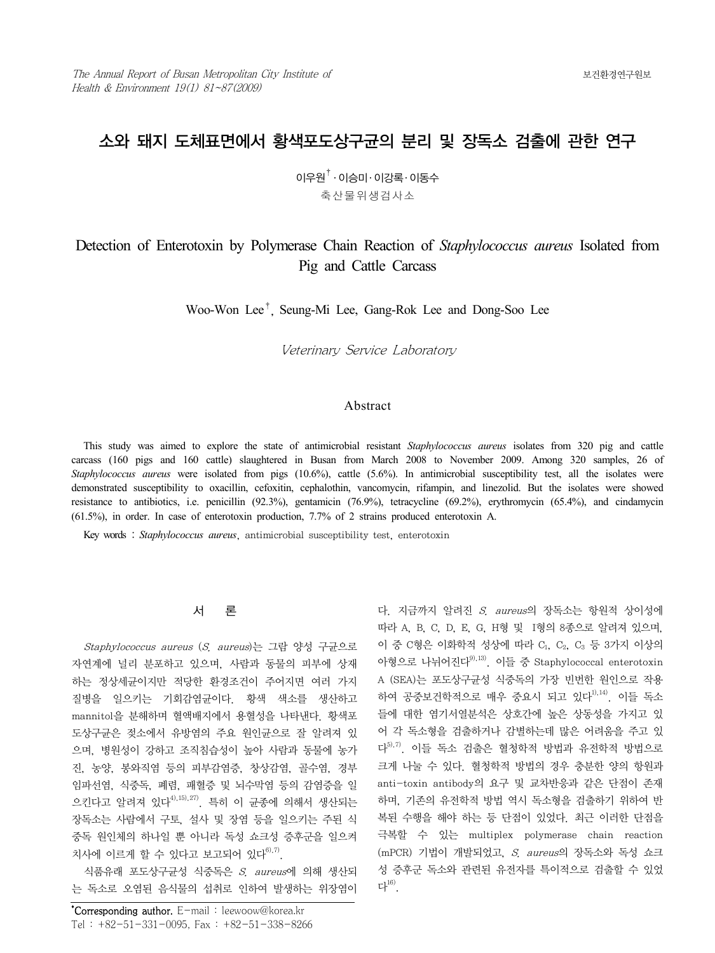# 소와 돼지 도체표면에서 황색포도상구균의 분리 및 장독소 검출에 관한 연구

 $0$  이 우원 $^{\dagger}$   $\cdot$  이 승미 $\cdot$  이 강록 $\cdot$  이 동수 축산물위생검사소

# Detection of Enterotoxin by Polymerase Chain Reaction of *Staphylococcus aureus* Isolated from Pig and Cattle Carcass

Woo-Won Lee†, Seung-Mi Lee, Gang-Rok Lee and Dong-Soo Lee

Veterinary Service Laboratory

#### Abstract

This study was aimed to explore the state of antimicrobial resistant *Staphylococcus aureus* isolates from 320 pig and cattle carcass (160 pigs and 160 cattle) slaughtered in Busan from March 2008 to November 2009. Among 320 samples, 26 of *Staphylococcus aureus* were isolated from pigs (10.6%), cattle (5.6%). In antimicrobial susceptibility test, all the isolates were demonstrated susceptibility to oxacillin, cefoxitin, cephalothin, vancomycin, rifampin, and linezolid. But the isolates were showed resistance to antibiotics, i.e. penicillin (92.3%), gentamicin (76.9%), tetracycline (69.2%), erythromycin (65.4%), and cindamycin (61.5%), in order. In case of enterotoxin production, 7.7% of 2 strains produced enterotoxin A.

Key words : *Staphylococcus aureus*, antimicrobial susceptibility test, enterotoxin

# 서 론

Staphylococcus aureus (S. aureus)는 그람 양성 구균으로 자연계에 널리 분포하고 있으며, 사람과 동물의 피부에 상재 하는 정상세균이지만 적당한 환경조건이 주어지면 여러 가지 질병을 일으키는 기회감염균이다. 황색 색소를 생산하고 mannitol을 분해하며 혈액배지에서 용혈성을 나타낸다. 황색포 도상구균은 젖소에서 유방염의 주요 원인균으로 잘 알려져 있 으며, 병원성이 강하고 조직침습성이 높아 사람과 동물에 농가 진, 농양, 봉와직염 등의 피부감염증, 창상감염, 골수염, 경부 임파선염, 식중독, 폐렴, 패혈증 및 뇌수막염 등의 감염증을 일 으킨다고 알려져 있다<sup>4),15),27)</sup>. 특히 이 균종에 의해서 생산되는 장독소는 사람에서 구토, 설사 및 장염 등을 일으키는 주된 식 중독 원인체의 하나일 뿐 아니라 독성 쇼크성 증후군을 일으켜 치사에 이르게 할 수 있다고 보고되어 있다 $^{6,7)}$ .

식품유래 포도상구균성 식중독은 S. aureus에 의해 생산되 는 독소로 오염된 음식물의 섭취로 인하여 발생하는 위장염이

다. 지금까지 알려진  $S$  aureus의 장독소는 항원적 상이성에 따라 A, B, C, D, E, G, H형 및 I형의 8종으로 알려져 있으며, 이 중 C형은 이화학적 성상에 따라 C1, C2, C3 등 3가지 이상의 아형으로 나뉘어진다<sup>9),13)</sup>. 이들 중 Staphylococcal enterotoxin A (SEA)는 포도상구균성 식중독의 가장 빈번한 원인으로 작용 하여 공중보건학적으로 매우 중요시 되고 있다<sup>1),14</sup>. 이들 독소 들에 대한 염기서열분석은 상호간에 높은 상동성을 가지고 있 어 각 독소형을 검출하거나 감별하는데 많은 어려움을 주고 있 다5),7). 이들 독소 검출은 혈청학적 방법과 유전학적 방법으로 크게 나눌 수 있다. 혈청학적 방법의 경우 충분한 양의 항원과 anti-toxin antibody의 요구 및 교차반응과 같은 단점이 존재 하며, 기존의 유전학적 방법 역시 독소형을 검출하기 위하여 반 복된 수행을 해야 하는 등 단점이 있었다. 최근 이러한 단점을 극복할 수 있는 multiplex polymerase chain reaction  $(mPCR)$  기법이 개발되었고, S. aureus의 장독소와 독성 쇼크 성 증후군 독소와 관련된 유전자를 특이적으로 검출할 수 있었  $L^{16}$ .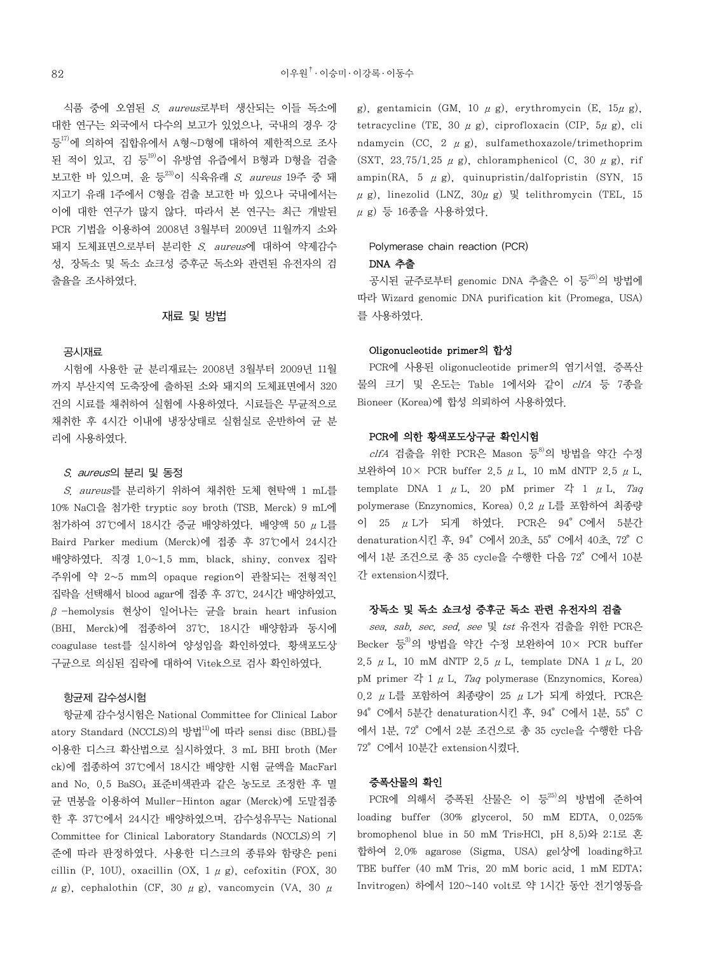식품 중에 오염된 S. aureus로부터 생산되는 이들 독소에 대한 연구는 외국에서 다수의 보고가 있었으나, 국내의 경우 강 등<sup>17)</sup>에 의하여 집합유에서 A형~D형에 대하여 제한적으로 조사 된 적이 있고, 김 등<sup>19)</sup>이 유방염 유즙에서 B형과 D형을 검출 보고한 바 있으며, 유 등 $^{23)}$ 이 식육유래 S. aureus 19주 중 돼 지고기 유래 1주에서 C형을 검출 보고한 바 있으나 국내에서는 이에 대한 연구가 많지 않다. 따라서 본 연구는 최근 개발된 PCR 기법을 이용하여 2008년 3월부터 2009년 11월까지 소와 돼지 도체표면으로부터 분리한 S. aureus에 대하여 약제감수 성, 장독소 및 독소 쇼크성 증후군 독소와 관련된 유전자의 검 출율을 조사하였다.

## 재료 및 방법

#### 공시재료

시험에 사용한 균 분리재료는 2008년 3월부터 2009년 11월 까지 부산지역 도축장에 출하된 소와 돼지의 도체표면에서 320 건의 시료를 채취하여 실험에 사용하였다. 시료들은 무균적으로 채취한 후 4시간 이내에 냉장상태로 실험실로 운반하여 균 분 리에 사용하였다.

#### S. aureus의 분리 및 동정

S. aureus를 분리하기 위하여 채취한 도체 현탁액 1 mL를 10% NaCl을 첨가한 tryptic soy broth (TSB, Merck) 9 mL에 첨가하여 37℃에서 18시간 증균 배양하였다. 배양액 50 μL를 Baird Parker medium (Merck)에 접종 후 37℃에서 24시간 배양하였다. 직경 1.0~1.5 mm, black, shiny, convex 집락 주위에 약 2~5 mm의 opaque region이 관찰되는 전형적인 집락을 선택해서 blood agar에 접종 후 37℃, 24시간 배양하였고, β-hemolysis 현상이 일어나는 균을 brain heart infusion (BHI, Merck)에 접종하여 37℃, 18시간 배양함과 동시에 coagulase test를 실시하여 양성임을 확인하였다. 황색포도상 구균으로 의심된 집락에 대하여 Vitek으로 검사 확인하였다.

#### 항균제 감수성시험

항균제 감수성시험은 National Committee for Clinical Labor atory Standard (NCCLS)의 방법11)에 따라 sensi disc (BBL)를 이용한 디스크 확산법으로 실시하였다. 3 mL BHI broth (Mer ck)에 접종하여 37℃에서 18시간 배양한 시험 균액을 MacFarl and No. 0.5 BaSO4 표준비색관과 같은 농도로 조정한 후 멸 균 면봉을 이용하여 Muller-Hinton agar (Merck)에 도말접종 한 후 37℃에서 24시간 배양하였으며, 감수성유무는 National Committee for Clinical Laboratory Standards (NCCLS)의 기 준에 따라 판정하였다. 사용한 디스크의 종류와 함량은 peni cillin (P, 10U), oxacillin (OX, 1  $\mu$  g), cefoxitin (FOX, 30 μg), cephalothin (CF, 30 μg), vancomycin (VA, 30 μ

g), gentamicin (GM, 10  $\mu$  g), erythromycin (E, 15 $\mu$  g), tetracycline (TE, 30  $\mu$  g), ciprofloxacin (CIP,  $5\mu$  g), cli ndamycin (CC, 2  $\mu$  g), sulfamethoxazole/trimethoprim (SXT, 23.75/1.25  $\mu$  g), chloramphenicol (C, 30  $\mu$  g), rif  $ampin(RA, 5 \mu g)$ , quinupristin/dalfopristin (SYN, 15) μg), linezolid (LNZ,  $30μ$ g) 및 telithromycin (TEL, 15  $\mu$  g) 등 16종을 사용하였다.

### Polymerase chain reaction (PCR)

## DNA 추출

공시된 균주로부터 genomic DNA 추출은 이 등<sup>25)</sup>의 방법에 따라 Wizard genomic DNA purification kit (Promega, USA) 를 사용하였다.

#### Oligonucleotide primer의 합성

PCR에 사용된 oligonucleotide primer의 염기서열, 증폭산 물의 크기 및 온도는 Table 1에서와 같이 clfA 등 7종을 Bioneer (Korea)에 합성 의뢰하여 사용하였다.

## PCR에 의한 황색포도상구균 확인시험

 $cl$ fA 검출을 위한 PCR은 Mason 등 $\overset{8}{\circ}$ 의 방법을 약간 수정 보완하여 10× PCR buffer 2.5 μL, 10 mM dNTP 2.5 μL, template DNA 1  $\mu$  L, 20 pM primer  $\frac{1}{4}$  1  $\mu$  L, Taq polymerase (Enzynomics, Korea) 0.2 μL를 포함하여 최종량 이 25 μL가 되게 하였다. PCR은 94°C에서 5분간 denaturation시킨 후, 94°C에서 20초, 55°C에서 40초, 72°C 에서 1분 조건으로 총 35 cycle을 수행한 다음 72°C에서 10분 간 extension시켰다.

### 장독소 및 독소 쇼크성 증후군 독소 관련 유전자의 검출

sea, sab, sec, sed, see 및 tst 유전자 검출을 위한 PCR은 Becker 등 $3$ 의 방법을 약간 수정 보완하여  $10\times$  PCR buffer 2.5  $\mu$  L, 10 mM dNTP 2.5  $\mu$  L, template DNA 1  $\mu$  L, 20 pM primer  $\psi$  1  $\mu$  L, Taq polymerase (Enzynomics, Korea) 0.2 μL를 포함하여 최종량이 25 μL가 되게 하였다. PCR은 94°C에서 5분간 denaturation시킨 후, 94°C에서 1분, 55°C 에서 1분, 72°C에서 2분 조건으로 총 35 cycle을 수행한 다음 72°C에서 10분간 extension시켰다.

# 증폭산물의 확인

PCR에 의해서 증폭된 산물은 이 등<sup>25)</sup>의 방법에 주하여 loading buffer (30% glycerol, 50 mM EDTA, 0.025% bromophenol blue in 50 mM Tris․HCl, pH 8.5)와 2:1로 혼 합하여 2.0% agarose (Sigma, USA) gel상에 loading하고 TBE buffer (40 mM Tris, 20 mM boric acid, 1 mM EDTA; Invitrogen) 하에서 120~140 volt로 약 1시간 동안 전기영동을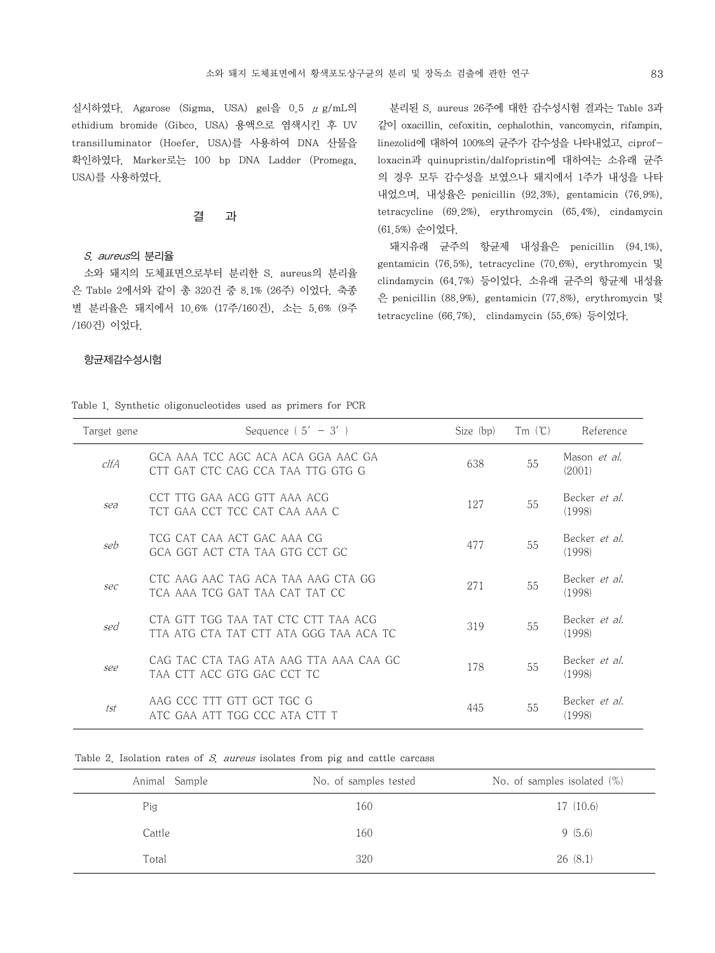실시하였다. Agarose (Sigma, USA) gel을 0.5 μg/mL의 ethidium bromide (Gibco, USA) 용액으로 염색시킨 후 UV transilluminator (Hoefer, USA)를 사용하여 DNA 산물을 확인하였다. Marker로는 100 bp DNA Ladder (Promega, USA)를 사용하였다.

# 결 과

#### S. aureus의 분리율

소와 돼지의 도체표면으로부터 분리한 S. aureus의 분리율 은 Table 2에서와 같이 총 320건 중 8.1% (26주) 이었다. 축종 별 분리율은 돼지에서 10.6% (17주/160건), 소는 5.6% (9주 /160건) 이었다.

분리된 S. aureus 26주에 대한 감수성시험 결과는 Table 3과 같이 oxacillin, cefoxitin, cephalothin, vancomycin, rifampin, linezolid에 대하여 100%의 균주가 감수성을 나타내었고, ciprofloxacin과 quinupristin/dalfopristin에 대하여는 소유래 균주 의 경우 모두 감수성을 보였으나 돼지에서 1주가 내성을 나타 내었으며, 내성율은 penicillin (92.3%), gentamicin (76.9%), tetracycline (69.2%), erythromycin (65.4%), cindamycin (61.5%) 순이었다.

돼지유래 균주의 항균제 내성율은 penicillin (94.1%), gentamicin (76.5%), tetracycline (70.6%), erythromycin 및 clindamycin (64.7%) 등이었다. 소유래 균주의 항균제 내성율 은 penicillin (88.9%), gentamicin (77.8%), erythromycin 및 tetracycline (66.7%), clindamycin (55.6%) 등이었다.

#### 항균제감수성시험

Table 1. Synthetic oligonucleotides used as primers for PCR

| Target gene | Sequence $(5' - 3')$                                                          | Size (bp) | $Tm$ $(\mathcal{C})$ | Reference                      |
|-------------|-------------------------------------------------------------------------------|-----------|----------------------|--------------------------------|
| $c$ If $A$  | GCA AAA TCC AGC ACA ACA GGA AAC GA<br>CTT GAT CTC CAG CCA TAA TTG GTG G       | 638       | 55                   | Mason <i>et al.</i><br>(2001)  |
| sea         | CCT TTG GAA ACG GTT AAA ACG<br>TCT GAA CCT TCC CAT CAA AAA C                  | 127       | 55                   | Becker et al.<br>(1998)        |
| seb         | TCG CAT CAA ACT GAC AAA CG<br>GCA GGT ACT CTA TAA GTG CCT GC                  | 477       | 55                   | Becker et al.<br>(1998)        |
| sec         | CTC AAG AAC TAG ACA TAA AAG CTA GG<br>TCA AAA TCG GAT TAA CAT TAT CC          | 271       | 55                   | Becker <i>et al.</i><br>(1998) |
| sed         | CTA GTT TGG TAA TAT CTC CTT TAA ACG<br>TTA ATG CTA TAT CTT ATA GGG TAA ACA TC | 319       | 55                   | Becker et al.<br>(1998)        |
| see         | CAG TAC CTA TAG ATA AAG TTA AAA CAA GC<br>TAA CTT ACC GTG GAC CCT TC          | 178       | 55                   | Becker et al.<br>(1998)        |
| tst         | AAG CCC TTT GTT GCT TGC G<br>ATC GAA ATT TGG CCC ATA CTT T                    | 445       | 55                   | Becker <i>et al.</i><br>(1998) |

Table 2. Isolation rates of  $S$ , aureus isolates from pig and cattle carcass

| Animal Sample | No. of samples tested | No. of samples isolated $(\%)$ |
|---------------|-----------------------|--------------------------------|
| Pig           | 160                   | 17(10.6)                       |
| Cattle        | 160                   | 9(5.6)                         |
| Total         | 320                   | 26(8.1)                        |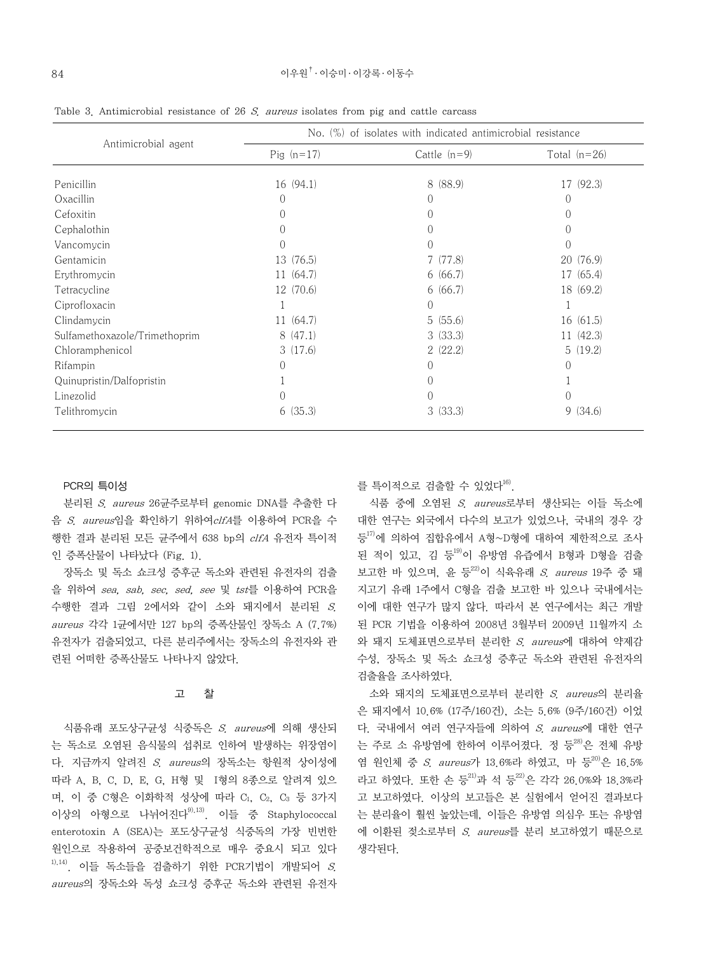|                               | No. $(\%)$ of isolates with indicated antimicrobial resistance |                |                  |  |  |
|-------------------------------|----------------------------------------------------------------|----------------|------------------|--|--|
| Antimicrobial agent           | Pig $(n=17)$                                                   | Cattle $(n=9)$ | Total $(n=26)$   |  |  |
| Penicillin                    | 16(94.1)                                                       | (88.9)<br>8    | (92.3)<br>17     |  |  |
| Oxacillin                     | $\theta$                                                       | 0              | $\left( \right)$ |  |  |
| Cefoxitin                     | $\left( \right)$                                               |                |                  |  |  |
| Cephalothin                   | 0                                                              |                | $\left( \right)$ |  |  |
| Vancomycin                    | $\Omega$                                                       | 0              | $\cup$           |  |  |
| Gentamicin                    | 13 (76.5)                                                      | 7(77.8)        | (76.9)<br>20     |  |  |
| Erythromycin                  | 11 (64.7)                                                      | 6(66.7)        | (65.4)<br>17     |  |  |
| Tetracycline                  | 12 (70.6)                                                      | 6(66.7)        | 18 (69.2)        |  |  |
| Ciprofloxacin                 |                                                                | $\theta$       |                  |  |  |
| Clindamycin                   | 11 (64.7)                                                      | 5(55.6)        | 16 (61.5)        |  |  |
| Sulfamethoxazole/Trimethoprim | 8(47.1)                                                        | 3(33.3)        | 11(42.3)         |  |  |
| Chloramphenicol               | 3(17.6)                                                        | 2(22.2)        | 5(19.2)          |  |  |
| Rifampin                      | $\left( \right)$                                               | 0              | $\Omega$         |  |  |
| Quinupristin/Dalfopristin     |                                                                | 0              |                  |  |  |
| Linezolid                     | $\left( \right)$                                               |                | Ω                |  |  |
| Telithromycin                 | 6(35.3)                                                        | 3<br>(33.3)    | 9(34.6)          |  |  |

Table 3. Antimicrobial resistance of 26  $S$ , aureus isolates from pig and cattle carcass

#### PCR의 특이성

분리된 S. aureus 26균주로부터 genomic DNA를 추출한 다 음 S. aureus임을 확인하기 위하여clfA를 이용하여 PCR을 수 행한 결과 분리된 모든 균주에서 638 bp의 clfA 유전자 특이적 인 증폭산물이 나타났다 (Fig. 1).

장독소 및 독소 쇼크성 증후군 독소와 관련된 유전자의 검출 을 위하여 sea, sab, sec, sed, see 및 tst를 이용하여 PCR을 수행한 결과 그림 2에서와 같이 소와 돼지에서 분리된 S. aureus 각각 1균에서만 127 bp의 증폭산물인 장독소 A (7.7%) 유전자가 검출되었고, 다른 분리주에서는 장독소의 유전자와 관 련된 어떠한 증폭산물도 나타나지 않았다.

#### 고 찰

식품유래 포도상구균성 식중독은 S. aureus에 의해 생산되 는 독소로 오염된 음식물의 섭취로 인하여 발생하는 위장염이 다. 지금까지 알려진 S. aureus의 장독소는 항원적 상이성에 따라 A, B, C, D, E, G, H형 및 I형의 8종으로 알려져 있으 며, 이 중 C형은 이화학적 성상에 따라 C1, C2, C3 등 3가지 이상의 아형으로 나뉘어진다 $^{9,13)}$ . 이들 중 Staphylococcal enterotoxin A (SEA)는 포도상구균성 식중독의 가장 빈번한 원인으로 작용하여 공중보건학적으로 매우 중요시 되고 있다  $1$ ),14). 이들 독소들을 검출하기 위한 PCR기법이 개발되어 S. aureus의 장독소와 독성 쇼크성 증후군 독소와 관련된 유전자 를 특이적으로 검출할 수 있었다 $^{16}$ .

식품 중에 오염된 S. aureus로부터 생산되는 이들 독소에 대한 연구는 외국에서 다수의 보고가 있었으나, 국내의 경우 강 등<sup>17)</sup>에 의하여 집합유에서 A형~D형에 대하여 제한적으로 조사 된 적이 있고, 김 등<sup>19)</sup>이 유방염 유즙에서 B형과 D형을 검출 보고한 바 있으며, 윤 등 $^{22)}$ 이 식육유래 S. aureus 19주 중 돼 지고기 유래 1주에서 C형을 검출 보고한 바 있으나 국내에서는 이에 대한 연구가 많지 않다. 따라서 본 연구에서는 최근 개발 된 PCR 기법을 이용하여 2008년 3월부터 2009년 11월까지 소 와 돼지 도체표면으로부터 분리한 S. aureus에 대하여 약제감 수성, 장독소 및 독소 쇼크성 증후군 독소와 관련된 유전자의 검출율을 조사하였다.

소와 돼지의 도체표면으로부터 분리한  $S$  aureus의 부리율 은 돼지에서 10.6% (17주/160건), 소는 5.6% (9주/160건) 이었 다. 국내에서 여러 연구자들에 의하여  $S$  aureus에 대한 연구 는 주로 소 유방염에 한하여 이루어졌다. 정 등<sup>28)</sup>은 전체 유방 염 원인체 중 S aureus가 13.6%라 하영고, 마 등20)은 16.5% 라고 하였다. 또한 손 등21)과 석 등22)은 각각 26.0%와 18.3%라 고 보고하였다. 이상의 보고들은 본 실험에서 얻어진 결과보다 는 분리율이 훨씬 높았는데, 이들은 유방염 의심우 또는 유방염 에 이환된 젖소로부터 S. aureus를 분리 보고하였기 때문으로 생각된다.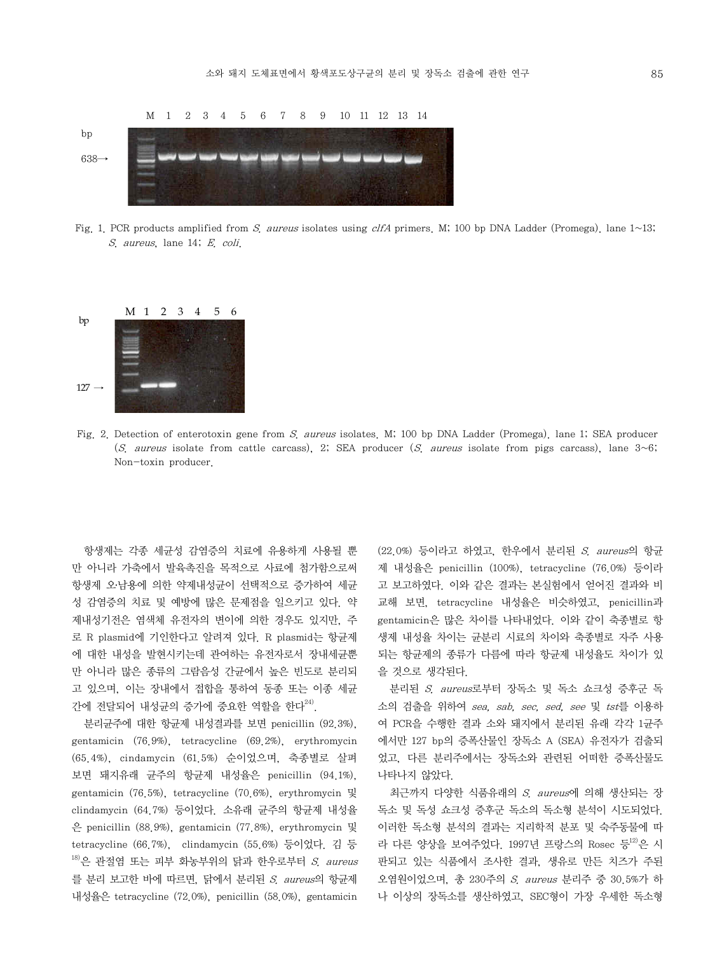

Fig. 1. PCR products amplified from S. aureus isolates using clfA primers. M; 100 bp DNA Ladder (Promega). lane  $1 \sim 13$ ; <sup>S</sup>. aureus, lane 14; E. coli.



Fig. 2. Detection of enterotoxin gene from S. aureus isolates. M; 100 bp DNA Ladder (Promega). lane 1; SEA producer (S. aureus isolate from cattle carcass), 2; SEA producer (S. aureus isolate from pigs carcass), lane  $3\neg 6$ ; Non-toxin producer.

항생제는 각종 세균성 감염증의 치료에 유용하게 사용될 뿐 만 아니라 가축에서 발육촉진을 목적으로 사료에 첨가함으로써 항생제 오․남용에 의한 약제내성균이 선택적으로 증가하여 세균 성 감염증의 치료 및 예방에 많은 문제점을 일으키고 있다. 약 제내성기전은 염색체 유전자의 변이에 의한 경우도 있지만, 주 로 R plasmid에 기인한다고 알려져 있다. R plasmid는 항균제 에 대한 내성을 발현시키는데 관여하는 유전자로서 장내세균뿐 만 아니라 많은 종류의 그람음성 간균에서 높은 빈도로 분리되 고 있으며, 이는 장내에서 접합을 통하여 동종 또는 이종 세균 간에 전달되어 내성균의 증가에 중요한 역할을 한다<sup>24)</sup>.

분리균주에 대한 항균제 내성결과를 보면 penicillin (92.3%), gentamicin (76.9%), tetracycline (69.2%), erythromycin (65.4%), cindamycin (61.5%) 순이었으며, 축종별로 살펴 보면 돼지유래 균주의 항균제 내성율은 penicillin (94.1%), gentamicin (76.5%), tetracycline (70.6%), erythromycin 및 clindamycin (64.7%) 등이었다. 소유래 균주의 항균제 내성율 은 penicillin (88.9%), gentamicin (77.8%), erythromycin 및 tetracycline (66.7%), clindamycin (55.6%) 등이었다. 김 등  $18$ 은 관절염 또는 피부 화농부위의 닭과 한우로부터 S. aureus 를 분리 보고한 바에 따르면, 닭에서 분리된  $S$ . aureus의 항균제 내성율은 tetracycline (72.0%), penicillin (58.0%), gentamicin

(22.0%) 등이라고 하였고, 한우에서 분리된 S. aureus의 항균 제 내성율은 penicillin (100%), tetracycline (76.0%) 등이라 고 보고하였다. 이와 같은 결과는 본실험에서 얻어진 결과와 비 교해 보면, tetracycline 내성율은 비슷하였고, penicillin과 gentamicin은 많은 차이를 나타내었다. 이와 같이 축종별로 항 생제 내성율 차이는 균분리 시료의 차이와 축종별로 자주 사용 되는 항균제의 종류가 다름에 따라 항균제 내성율도 차이가 있 을 것으로 생각된다.

분리된 S. aureus로부터 장독소 및 독소 쇼크성 증후군 독 소의 검출을 위하여 sea, sab, sec, sed, see 및 tst를 이용하 여 PCR을 수행한 결과 소와 돼지에서 분리된 유래 각각 1균주 에서만 127 bp의 증폭산물인 장독소 A (SEA) 유전자가 검출되 었고, 다른 분리주에서는 장독소와 관련된 어떠한 증폭산물도 나타나지 않았다.

최근까지 다양한 식품유래의 S. aureus에 의해 생산되는 장 독소 및 독성 쇼크성 증후군 독소의 독소형 분석이 시도되었다. 이러한 독소형 분석의 결과는 지리학적 분포 및 숙주동물에 따 라 다른 양상을 보여주었다. 1997년 프랑스의 Rosec 등 $^{12}$ 은 시 판되고 있는 식품에서 조사한 결과, 생유로 만든 치즈가 주된 오염원이었으며, 총 230주의 S. aureus 분리주 중 30.5%가 하 나 이상의 장독소를 생산하였고, SEC형이 가장 우세한 독소형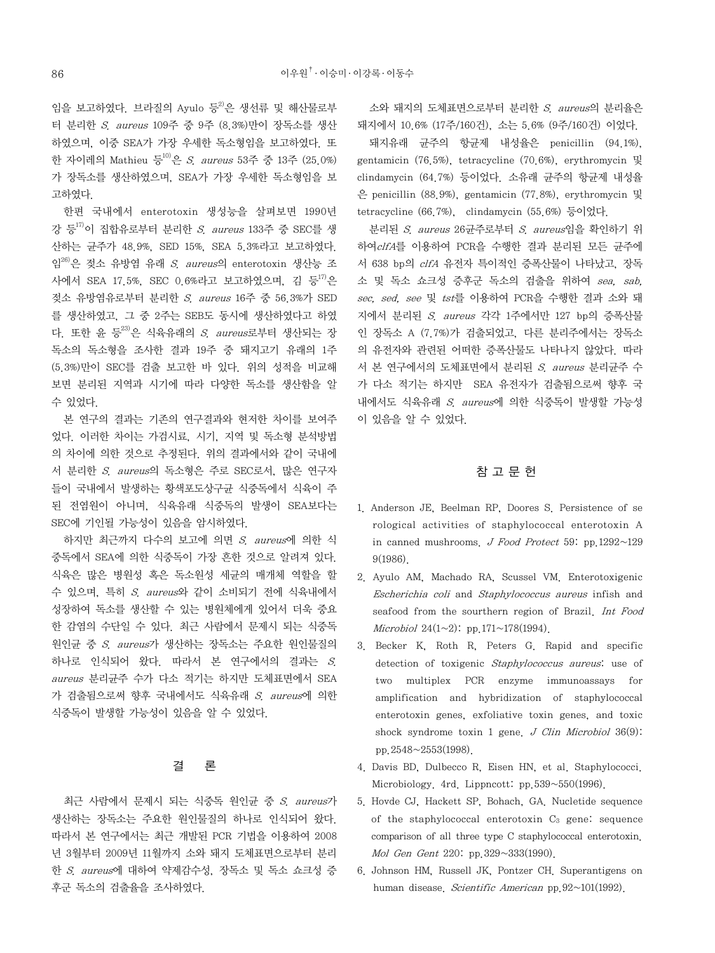임을 보고하였다. 브라질의 Ayulo 등<sup>2)</sup>은 생선류 및 해산물로부 터 분리한 S. aureus 109주 중 9주 (8.3%)만이 장독소를 생산 하였으며, 이중 SEA가 가장 우세한 독소형임을 보고하였다. 또 한 자이레의 Mathieu 등 $^{10}$ 은 S. aureus 53주 중 13주 (25.0%) 가 장독소를 생산하였으며, SEA가 가장 우세한 독소형임을 보 고하였다.

한편 국내에서 enterotoxin 생성능을 살펴보면 1990년 강 등 $^{17}$ 이 집합유로부터 분리한 S. aureus 133주 중 SEC를 생 산하는 균주가 48.9%, SED 15%, SEA 5.3%라고 보고하였다. 임26)은 젖소 유방염 유래 S. aureus의 enterotoxin 생산능 조 사에서 SEA 17.5%, SEC 0.6%라고 보고하였으며, 김 등 $^{17}$ 은 젖소 유방염유로부터 분리한 S. aureus 16주 중 56.3%가 SED 를 생산하였고, 그 중 2주는 SEB도 동시에 생산하였다고 하였 다. 또한 윤 등 $^{23}$ 은 식육유래의 S. aureus로부터 생산되는 장 독소의 독소형을 조사한 결과 19주 중 돼지고기 유래의 1주 (5.3%)만이 SEC를 검출 보고한 바 있다. 위의 성적을 비교해 보면 분리된 지역과 시기에 따라 다양한 독소를 생산함을 알 수 있었다.

본 연구의 결과는 기존의 연구결과와 현저한 차이를 보여주 었다. 이러한 차이는 가검시료, 시기, 지역 및 독소형 분석방법 의 차이에 의한 것으로 추정된다. 위의 결과에서와 같이 국내에 서 분리한 S. aureus의 독소형은 주로 SEC로서, 많은 연구자 들이 국내에서 발생하는 황색포도상구균 식중독에서 식육이 주 된 전염원이 아니며, 식육유래 식중독의 발생이 SEA보다는 SEC에 기인될 가능성이 있음을 암시하였다.

하지만 최근까지 다수의 보고에 의면 S. aureus에 의한 식 중독에서 SEA에 의한 식중독이 가장 흔한 것으로 알려져 있다. 식육은 많은 병원성 혹은 독소원성 세균의 매개체 역할을 할 수 있으며, 특히 S. aureus와 같이 소비되기 전에 식육내에서 성장하여 독소를 생산할 수 있는 병원체에게 있어서 더욱 중요 한 감염의 수단일 수 있다. 최근 사람에서 문제시 되는 식중독 원인균 중 S. aureus가 생산하는 장독소는 주요한 원인물질의 하나로 인식되어 왔다. 따라서 본 연구에서의 결과는 S. aureus 분리균주 수가 다소 적기는 하지만 도체표면에서 SEA 가 검출됨으로써 향후 국내에서도 식육유래  $S$ . aureus에 의한 식중독이 발생할 가능성이 있음을 알 수 있었다.

# 결 론

최근 사람에서 문제시 되는 식중독 원인균 중 S. aureus가 생산하는 장독소는 주요한 원인물질의 하나로 인식되어 왔다. 따라서 본 연구에서는 최근 개발된 PCR 기법을 이용하여 2008 년 3월부터 2009년 11월까지 소와 돼지 도체표면으로부터 분리 한 S. aureus에 대하여 약제감수성, 장독소 및 독소 쇼크성 증 후군 독소의 검출율을 조사하였다.

소와 돼지의 도체표면으로부터 분리한  $S$ . aureus의 분리율은 돼지에서 10.6% (17주/160건), 소는 5.6% (9주/160건) 이었다. 돼지유래 균주의 항균제 내성율은 penicillin (94.1%), gentamicin (76.5%), tetracycline (70.6%), erythromycin 및 clindamycin (64.7%) 등이었다. 소유래 균주의 항균제 내성율 은 penicillin (88.9%), gentamicin (77.8%), erythromycin 및 tetracycline (66.7%), clindamycin (55.6%) 등이었다.

분리된 S. aureus 26균주로부터 S. aureus임을 확인하기 위 하여clfA를 이용하여 PCR을 수행한 결과 분리된 모든 균주에 서 638 bp의 clfA 유전자 특이적인 증폭산물이 나타났고, 장독 소 및 독소 쇼크성 증후군 독소의 검출을 위하여 sea, sab. sec, sed, see 및 tst를 이용하여 PCR을 수행한 결과 소와 돼 지에서 분리된 S. aureus 각각 1주에서만 127 bp의 증폭산물 인 장독소 A (7.7%)가 검출되었고, 다른 분리주에서는 장독소 의 유전자와 관련된 어떠한 증폭산물도 나타나지 않았다. 따라 서 본 연구에서의 도체표면에서 분리된 S. aureus 분리균주 수 가 다소 적기는 하지만 SEA 유전자가 검출됨으로써 향후 국 내에서도 식육유래 S. aureus에 의한 식중독이 발생할 가능성 이 있음을 알 수 있었다.

## 참 고 문 헌

- 1. Anderson JE, Beelman RP, Doores S. Persistence of se rological activities of staphylococcal enterotoxin A in canned mushrooms. J Food Protect 59: pp.1292 $\sim$ 129 9(1986).
- 2. Ayulo AM, Machado RA, Scussel VM. Enterotoxigenic Escherichia coli and Staphylococcus aureus infish and seafood from the sourthern region of Brazil. Int Food Microbiol 24(1~2): pp.171~178(1994).
- 3. Becker K, Roth R, Peters G. Rapid and specific detection of toxigenic Staphylococcus aureus: use of two multiplex PCR enzyme immunoassays for amplification and hybridization of staphylococcal enterotoxin genes, exfoliative toxin genes, and toxic shock syndrome toxin 1 gene. J Clin Microbiol  $36(9)$ : pp.2548~2553(1998).
- 4. Davis BD, Dulbecco R, Eisen HN, et al. Staphylococci. Microbiology. 4rd. Lippncott: pp.539~550(1996).
- 5. Hovde CJ, Hackett SP, Bohach, GA. Nucletide sequence of the staphylococcal enterotoxin  $C_3$  gene: sequence comparison of all three type C staphylococcal enterotoxin. Mol Gen Gent 220: pp.329~333(1990).
- 6. Johnson HM, Russell JK, Pontzer CH. Superantigens on human disease. Scientific American pp. 92~101(1992).